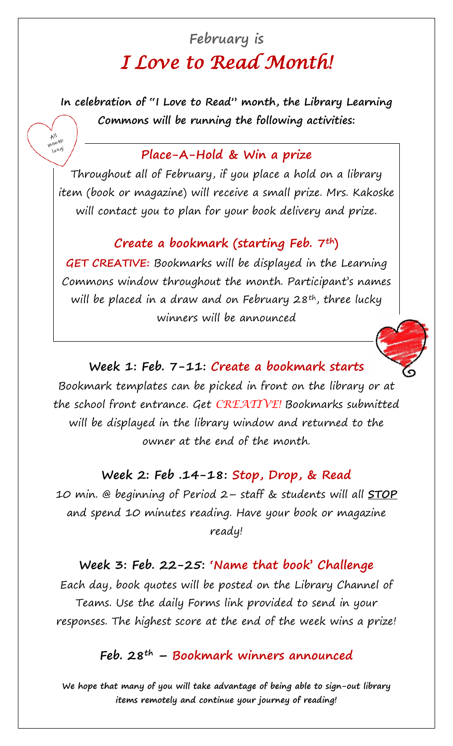# **February is**  *I Love to Read Month!*

**In celebration of "I Love to Read" month, the Library Learning Commons will be running the following activities:**

## **Place-A-Hold & Win a prize**

ΝĄ month<br>Month long!

> Throughout all of February, if you place a hold on a library item (book or magazine) will receive a small prize. Mrs. Kakoske will contact you to plan for your book delivery and prize.

#### **Create a bookmark (starting Feb. 7th)**

**GET CREATIVE:** Bookmarks will be displayed in the Learning Commons window throughout the month. Participant's names will be placed in a draw and on February 28<sup>th</sup>, three lucky winners will be announced



#### **Week 1: Feb. 7-11: Create a bookmark starts**

Bookmark templates can be picked in front on the library or at the school front entrance. Get *CREATIVE!* Bookmarks submitted will be displayed in the library window and returned to the owner at the end of the month.

#### **Week 2: Feb .14-18: Stop, Drop, & Read**

10 min. @ beginning of Period 2– staff & students will all **STOP** and spend 10 minutes reading. Have your book or magazine ready!

#### **Week 3: Feb. 22-25: 'Name that book' Challenge**

Each day, book quotes will be posted on the Library Channel of Teams. Use the daily Forms link provided to send in your responses. The highest score at the end of the week wins a prize!

### **Feb. 28th – Bookmark winners announced**

**We hope that many of you will take advantage of being able to sign-out library items remotely and continue your journey of reading!**